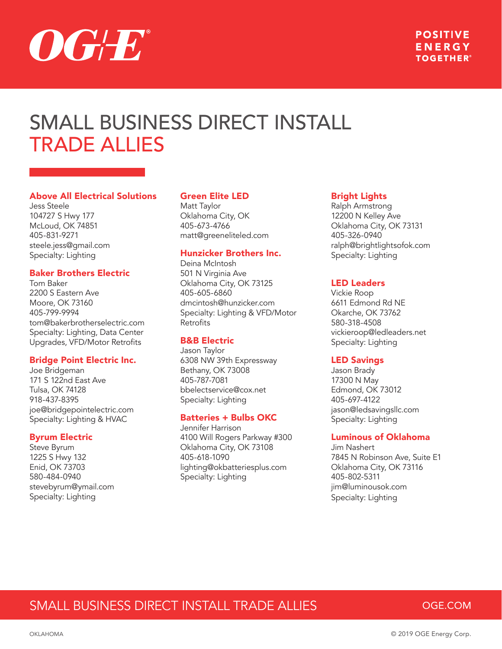

## **POSITIVE** ENERGY **TOGETHER®**

# SMALL BUSINESS DIRECT INSTALL TRADE ALLIES

#### Above All Electrical Solutions

Jess Steele 104727 S Hwy 177 McLoud, OK 74851 405-831-9271 steele.jess@gmail.com Specialty: Lighting

#### Baker Brothers Electric

Tom Baker 2200 S Eastern Ave Moore, OK 73160 405-799-9994 tom@bakerbrotherselectric.com Specialty: Lighting, Data Center Upgrades, VFD/Motor Retrofits

#### Bridge Point Electric Inc.

Joe Bridgeman 171 S 122nd East Ave Tulsa, OK 74128 918-437-8395 joe@bridgepointelectric.com Specialty: Lighting & HVAC

#### Byrum Electric

Steve Byrum 1225 S Hwy 132 Enid, OK 73703 580-484-0940 stevebyrum@ymail.com Specialty: Lighting

#### Green Elite LED

Matt Taylor Oklahoma City, OK 405-673-4766 matt@greeneliteled.com

#### Hunzicker Brothers Inc.

Deina McIntosh 501 N Virginia Ave Oklahoma City, OK 73125 405-605-6860 dmcintosh@hunzicker.com Specialty: Lighting & VFD/Motor Retrofits

#### B&B Electric

Jason Taylor 6308 NW 39th Expressway Bethany, OK 73008 405-787-7081 bbelectservice@cox.net Specialty: Lighting

#### Batteries + Bulbs OKC

Jennifer Harrison 4100 Will Rogers Parkway #300 Oklahoma City, OK 73108 405-618-1090 lighting@okbatteriesplus.com Specialty: Lighting

#### Bright Lights

Ralph Armstrong 12200 N Kelley Ave Oklahoma City, OK 73131 405-326-0940 ralph@brightlightsofok.com Specialty: Lighting

#### LED Leaders

Vickie Roop 6611 Edmond Rd NE Okarche, OK 73762 580-318-4508 vickieroop@ledleaders.net Specialty: Lighting

#### LED Savings

Jason Brady 17300 N May Edmond, OK 73012 405-697-4122 jason@ledsavingsllc.com Specialty: Lighting

#### Luminous of Oklahoma

Jim Nashert 7845 N Robinson Ave, Suite E1 Oklahoma City, OK 73116 405-802-5311 jim@luminousok.com Specialty: Lighting

## SMALL BUSINESS DIRECT INSTALL TRADE ALLIES

## **OGE.COM**